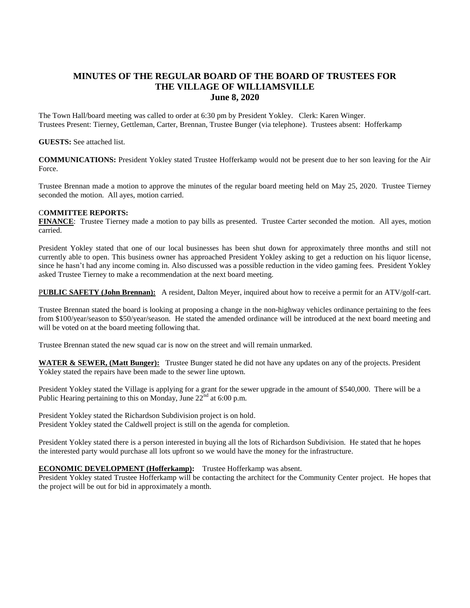# **MINUTES OF THE REGULAR BOARD OF THE BOARD OF TRUSTEES FOR THE VILLAGE OF WILLIAMSVILLE June 8, 2020**

The Town Hall/board meeting was called to order at 6:30 pm by President Yokley. Clerk: Karen Winger. Trustees Present: Tierney, Gettleman, Carter, Brennan, Trustee Bunger (via telephone). Trustees absent: Hofferkamp

#### **GUESTS:** See attached list.

**COMMUNICATIONS:** President Yokley stated Trustee Hofferkamp would not be present due to her son leaving for the Air Force.

Trustee Brennan made a motion to approve the minutes of the regular board meeting held on May 25, 2020. Trustee Tierney seconded the motion. All ayes, motion carried.

### C**OMMITTEE REPORTS:**

**FINANCE**: Trustee Tierney made a motion to pay bills as presented. Trustee Carter seconded the motion. All ayes, motion carried.

President Yokley stated that one of our local businesses has been shut down for approximately three months and still not currently able to open. This business owner has approached President Yokley asking to get a reduction on his liquor license, since he hasn't had any income coming in. Also discussed was a possible reduction in the video gaming fees. President Yokley asked Trustee Tierney to make a recommendation at the next board meeting.

P**UBLIC SAFETY (John Brennan):** A resident, Dalton Meyer, inquired about how to receive a permit for an ATV/golf-cart.

Trustee Brennan stated the board is looking at proposing a change in the non-highway vehicles ordinance pertaining to the fees from \$100/year/season to \$50/year/season. He stated the amended ordinance will be introduced at the next board meeting and will be voted on at the board meeting following that.

Trustee Brennan stated the new squad car is now on the street and will remain unmarked.

**WATER & SEWER, (Matt Bunger):** Trustee Bunger stated he did not have any updates on any of the projects. President Yokley stated the repairs have been made to the sewer line uptown.

President Yokley stated the Village is applying for a grant for the sewer upgrade in the amount of \$540,000. There will be a Public Hearing pertaining to this on Monday, June  $22<sup>nd</sup>$  at 6:00 p.m.

President Yokley stated the Richardson Subdivision project is on hold. President Yokley stated the Caldwell project is still on the agenda for completion.

President Yokley stated there is a person interested in buying all the lots of Richardson Subdivision. He stated that he hopes the interested party would purchase all lots upfront so we would have the money for the infrastructure.

## **ECONOMIC DEVELOPMENT (Hofferkamp):** Trustee Hofferkamp was absent.

President Yokley stated Trustee Hofferkamp will be contacting the architect for the Community Center project. He hopes that the project will be out for bid in approximately a month.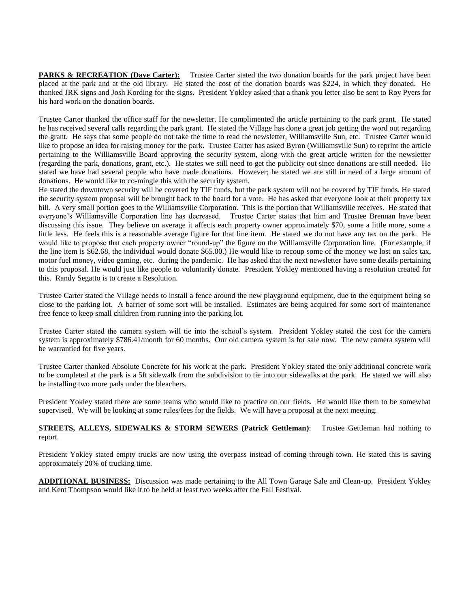**PARKS & RECREATION (Dave Carter):** Trustee Carter stated the two donation boards for the park project have been placed at the park and at the old library. He stated the cost of the donation boards was \$224, in which they donated. He thanked JRK signs and Josh Kording for the signs. President Yokley asked that a thank you letter also be sent to Roy Pyers for his hard work on the donation boards.

Trustee Carter thanked the office staff for the newsletter. He complimented the article pertaining to the park grant. He stated he has received several calls regarding the park grant. He stated the Village has done a great job getting the word out regarding the grant. He says that some people do not take the time to read the newsletter, Williamsville Sun, etc. Trustee Carter would like to propose an idea for raising money for the park. Trustee Carter has asked Byron (Williamsville Sun) to reprint the article pertaining to the Williamsville Board approving the security system, along with the great article written for the newsletter (regarding the park, donations, grant, etc.). He states we still need to get the publicity out since donations are still needed. He stated we have had several people who have made donations. However; he stated we are still in need of a large amount of donations. He would like to co-mingle this with the security system.

He stated the downtown security will be covered by TIF funds, but the park system will not be covered by TIF funds. He stated the security system proposal will be brought back to the board for a vote. He has asked that everyone look at their property tax bill. A very small portion goes to the Williamsville Corporation. This is the portion that Williamsville receives. He stated that everyone's Williamsville Corporation line has decreased. Trustee Carter states that him and Trustee Brennan have been discussing this issue. They believe on average it affects each property owner approximately \$70, some a little more, some a little less. He feels this is a reasonable average figure for that line item. He stated we do not have any tax on the park. He would like to propose that each property owner "round-up" the figure on the Williamsville Corporation line. (For example, if the line item is \$62.68, the individual would donate \$65.00.) He would like to recoup some of the money we lost on sales tax, motor fuel money, video gaming, etc. during the pandemic. He has asked that the next newsletter have some details pertaining to this proposal. He would just like people to voluntarily donate. President Yokley mentioned having a resolution created for this. Randy Segatto is to create a Resolution.

Trustee Carter stated the Village needs to install a fence around the new playground equipment, due to the equipment being so close to the parking lot. A barrier of some sort will be installed. Estimates are being acquired for some sort of maintenance free fence to keep small children from running into the parking lot.

Trustee Carter stated the camera system will tie into the school's system. President Yokley stated the cost for the camera system is approximately \$786.41/month for 60 months. Our old camera system is for sale now. The new camera system will be warrantied for five years.

Trustee Carter thanked Absolute Concrete for his work at the park. President Yokley stated the only additional concrete work to be completed at the park is a 5ft sidewalk from the subdivision to tie into our sidewalks at the park. He stated we will also be installing two more pads under the bleachers.

President Yokley stated there are some teams who would like to practice on our fields. He would like them to be somewhat supervised. We will be looking at some rules/fees for the fields. We will have a proposal at the next meeting.

### **STREETS, ALLEYS, SIDEWALKS & STORM SEWERS (Patrick Gettleman):** Trustee Gettleman had nothing to report.

President Yokley stated empty trucks are now using the overpass instead of coming through town. He stated this is saving approximately 20% of trucking time.

**ADDITIONAL BUSINESS:** Discussion was made pertaining to the All Town Garage Sale and Clean-up. President Yokley and Kent Thompson would like it to be held at least two weeks after the Fall Festival.